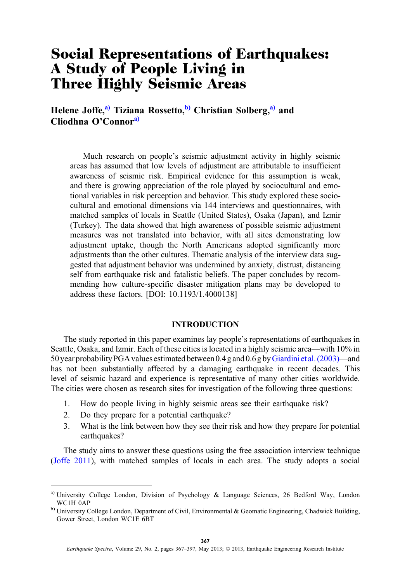# Social Representations of Earthquakes: A Study of People Living in Three Highly Seismic Areas

Helene Joffe,<sup>a)</sup> Tiziana Rossetto,<sup>b)</sup> Christian Solberg,<sup>a)</sup> and Cliodhna O'Connora)

Much research on people's seismic adjustment activity in highly seismic areas has assumed that low levels of adjustment are attributable to insufficient awareness of seismic risk. Empirical evidence for this assumption is weak, and there is growing appreciation of the role played by sociocultural and emotional variables in risk perception and behavior. This study explored these sociocultural and emotional dimensions via 144 interviews and questionnaires, with matched samples of locals in Seattle (United States), Osaka (Japan), and Izmir (Turkey). The data showed that high awareness of possible seismic adjustment measures was not translated into behavior, with all sites demonstrating low adjustment uptake, though the North Americans adopted significantly more adjustments than the other cultures. Thematic analysis of the interview data suggested that adjustment behavior was undermined by anxiety, distrust, distancing self from earthquake risk and fatalistic beliefs. The paper concludes by recommending how culture-specific disaster mitigation plans may be developed to address these factors. [DOI: 10.1193/1.4000138]

# INTRODUCTION

The study reported in this paper examines lay people's representations of earthquakes in Seattle, Osaka, and Izmir. Each of these cities is located in a highly seismic area—with 10% in 50 year probability PGA values estimated between 0.4 g and 0.6 g by[Giardini et al. \(2003\)](#page-28-0)—and has not been substantially affected by a damaging earthquake in recent decades. This level of seismic hazard and experience is representative of many other cities worldwide. The cities were chosen as research sites for investigation of the following three questions:

- 1. How do people living in highly seismic areas see their earthquake risk?
- 2. Do they prepare for a potential earthquake?
- 3. What is the link between how they see their risk and how they prepare for potential earthquakes?

The study aims to answer these questions using the free association interview technique [\(Joffe 2011\)](#page-28-0), with matched samples of locals in each area. The study adopts a social

a) University College London, Division of Psychology & Language Sciences, 26 Bedford Way, London WC1H 0AP

<sup>&</sup>lt;sup>b)</sup> University College London, Department of Civil, Environmental & Geomatic Engineering, Chadwick Building, Gower Street, London WC1E 6BT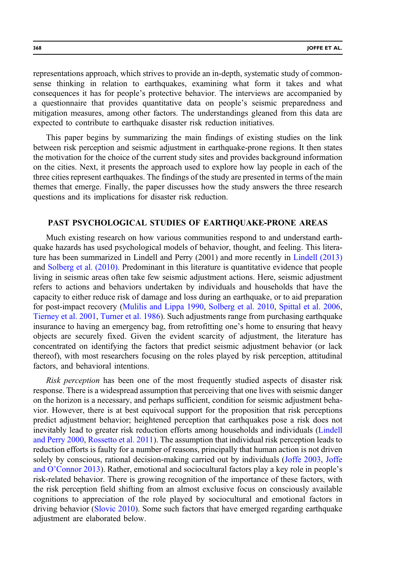representations approach, which strives to provide an in-depth, systematic study of commonsense thinking in relation to earthquakes, examining what form it takes and what consequences it has for people's protective behavior. The interviews are accompanied by a questionnaire that provides quantitative data on people's seismic preparedness and mitigation measures, among other factors. The understandings gleaned from this data are expected to contribute to earthquake disaster risk reduction initiatives.

This paper begins by summarizing the main findings of existing studies on the link between risk perception and seismic adjustment in earthquake-prone regions. It then states the motivation for the choice of the current study sites and provides background information on the cities. Next, it presents the approach used to explore how lay people in each of the three cities represent earthquakes. The findings of the study are presented in terms of the main themes that emerge. Finally, the paper discusses how the study answers the three research questions and its implications for disaster risk reduction.

# PAST PSYCHOLOGICAL STUDIES OF EARTHQUAKE-PRONE AREAS

Much existing research on how various communities respond to and understand earthquake hazards has used psychological models of behavior, thought, and feeling. This literature has been summarized in Lindell and Perry (2001) and more recently in [Lindell \(2013\)](#page-28-0) and [Solberg et al. \(2010\)](#page-29-0). Predominant in this literature is quantitative evidence that people living in seismic areas often take few seismic adjustment actions. Here, seismic adjustment refers to actions and behaviors undertaken by individuals and households that have the capacity to either reduce risk of damage and loss during an earthquake, or to aid preparation for post-impact recovery ([Mulilis and Lippa 1990](#page-29-0), [Solberg et al. 2010](#page-29-0), [Spittal et al. 2006](#page-29-0), [Tierney et al. 2001](#page-29-0), [Turner et al. 1986](#page-29-0)). Such adjustments range from purchasing earthquake insurance to having an emergency bag, from retrofitting one's home to ensuring that heavy objects are securely fixed. Given the evident scarcity of adjustment, the literature has concentrated on identifying the factors that predict seismic adjustment behavior (or lack thereof), with most researchers focusing on the roles played by risk perception, attitudinal factors, and behavioral intentions.

Risk perception has been one of the most frequently studied aspects of disaster risk response. There is a widespread assumption that perceiving that one lives with seismic danger on the horizon is a necessary, and perhaps sufficient, condition for seismic adjustment behavior. However, there is at best equivocal support for the proposition that risk perceptions predict adjustment behavior; heightened perception that earthquakes pose a risk does not inevitably lead to greater risk reduction efforts among households and individuals ([Lindell](#page-29-0) [and Perry 2000,](#page-29-0) [Rossetto et al. 2011\)](#page-29-0). The assumption that individual risk perception leads to reduction efforts is faulty for a number of reasons, principally that human action is not driven solely by conscious, rational decision-making carried out by individuals [\(Joffe 2003](#page-28-0), [Joffe](#page-28-0) and O'[Connor 2013](#page-28-0)). Rather, emotional and sociocultural factors play a key role in people's risk-related behavior. There is growing recognition of the importance of these factors, with the risk perception field shifting from an almost exclusive focus on consciously available cognitions to appreciation of the role played by sociocultural and emotional factors in driving behavior ([Slovic 2010](#page-29-0)). Some such factors that have emerged regarding earthquake adjustment are elaborated below.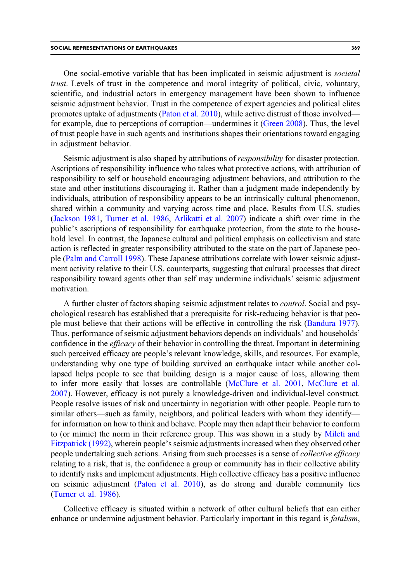One social-emotive variable that has been implicated in seismic adjustment is societal trust. Levels of trust in the competence and moral integrity of political, civic, voluntary, scientific, and industrial actors in emergency management have been shown to influence seismic adjustment behavior. Trust in the competence of expert agencies and political elites promotes uptake of adjustments [\(Paton et al. 2010](#page-29-0)), while active distrust of those involved for example, due to perceptions of corruption—undermines it ([Green 2008\)](#page-28-0). Thus, the level of trust people have in such agents and institutions shapes their orientations toward engaging in adjustment behavior.

Seismic adjustment is also shaped by attributions of *responsibility* for disaster protection. Ascriptions of responsibility influence who takes what protective actions, with attribution of responsibility to self or household encouraging adjustment behaviors, and attribution to the state and other institutions discouraging it. Rather than a judgment made independently by individuals, attribution of responsibility appears to be an intrinsically cultural phenomenon, shared within a community and varying across time and place. Results from U.S. studies [\(Jackson 1981,](#page-28-0) [Turner et al. 1986](#page-29-0), [Arlikatti et al. 2007\)](#page-27-0) indicate a shift over time in the public's ascriptions of responsibility for earthquake protection, from the state to the household level. In contrast, the Japanese cultural and political emphasis on collectivism and state action is reflected in greater responsibility attributed to the state on the part of Japanese people [\(Palm and Carroll 1998\)](#page-29-0). These Japanese attributions correlate with lower seismic adjustment activity relative to their U.S. counterparts, suggesting that cultural processes that direct responsibility toward agents other than self may undermine individuals' seismic adjustment motivation.

A further cluster of factors shaping seismic adjustment relates to control. Social and psychological research has established that a prerequisite for risk-reducing behavior is that people must believe that their actions will be effective in controlling the risk ([Bandura 1977](#page-27-0)). Thus, performance of seismic adjustment behaviors depends on individuals' and households' confidence in the *efficacy* of their behavior in controlling the threat. Important in determining such perceived efficacy are people's relevant knowledge, skills, and resources. For example, understanding why one type of building survived an earthquake intact while another collapsed helps people to see that building design is a major cause of loss, allowing them to infer more easily that losses are controllable [\(McClure et al. 2001,](#page-29-0) [McClure et al.](#page-29-0) [2007\)](#page-29-0). However, efficacy is not purely a knowledge-driven and individual-level construct. People resolve issues of risk and uncertainty in negotiation with other people. People turn to similar others—such as family, neighbors, and political leaders with whom they identify for information on how to think and behave. People may then adapt their behavior to conform to (or mimic) the norm in their reference group. This was shown in a study by [Mileti and](#page-29-0) [Fitzpatrick \(1992\)](#page-29-0), wherein people's seismic adjustments increased when they observed other people undertaking such actions. Arising from such processes is a sense of *collective efficacy* relating to a risk, that is, the confidence a group or community has in their collective ability to identify risks and implement adjustments. High collective efficacy has a positive influence on seismic adjustment ([Paton et al. 2010](#page-29-0)), as do strong and durable community ties [\(Turner et al. 1986\)](#page-29-0).

Collective efficacy is situated within a network of other cultural beliefs that can either enhance or undermine adjustment behavior. Particularly important in this regard is *fatalism*,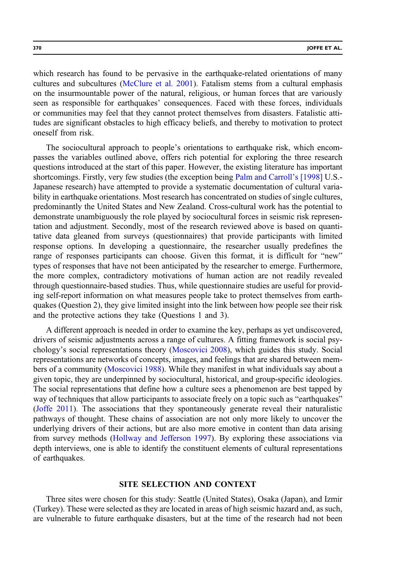which research has found to be pervasive in the earthquake-related orientations of many cultures and subcultures ([McClure et al. 2001](#page-29-0)). Fatalism stems from a cultural emphasis on the insurmountable power of the natural, religious, or human forces that are variously seen as responsible for earthquakes' consequences. Faced with these forces, individuals or communities may feel that they cannot protect themselves from disasters. Fatalistic attitudes are significant obstacles to high efficacy beliefs, and thereby to motivation to protect oneself from risk.

The sociocultural approach to people's orientations to earthquake risk, which encompasses the variables outlined above, offers rich potential for exploring the three research questions introduced at the start of this paper. However, the existing literature has important shortcomings. Firstly, very few studies (the exception being [Palm and Carroll](#page-29-0)'s [1998] U.S.- Japanese research) have attempted to provide a systematic documentation of cultural variability in earthquake orientations. Most research has concentrated on studies of single cultures, predominantly the United States and New Zealand. Cross-cultural work has the potential to demonstrate unambiguously the role played by sociocultural forces in seismic risk representation and adjustment. Secondly, most of the research reviewed above is based on quantitative data gleaned from surveys (questionnaires) that provide participants with limited response options. In developing a questionnaire, the researcher usually predefines the range of responses participants can choose. Given this format, it is difficult for "new" types of responses that have not been anticipated by the researcher to emerge. Furthermore, the more complex, contradictory motivations of human action are not readily revealed through questionnaire-based studies. Thus, while questionnaire studies are useful for providing self-report information on what measures people take to protect themselves from earthquakes (Question 2), they give limited insight into the link between how people see their risk and the protective actions they take (Questions 1 and 3).

A different approach is needed in order to examine the key, perhaps as yet undiscovered, drivers of seismic adjustments across a range of cultures. A fitting framework is social psychology's social representations theory ([Moscovici 2008](#page-29-0)), which guides this study. Social representations are networks of concepts, images, and feelings that are shared between members of a community [\(Moscovici 1988\)](#page-29-0). While they manifest in what individuals say about a given topic, they are underpinned by sociocultural, historical, and group-specific ideologies. The social representations that define how a culture sees a phenomenon are best tapped by way of techniques that allow participants to associate freely on a topic such as "earthquakes" [\(Joffe 2011\)](#page-28-0). The associations that they spontaneously generate reveal their naturalistic pathways of thought. These chains of association are not only more likely to uncover the underlying drivers of their actions, but are also more emotive in content than data arising from survey methods ([Hollway and Jefferson 1997](#page-28-0)). By exploring these associations via depth interviews, one is able to identify the constituent elements of cultural representations of earthquakes.

# SITE SELECTION AND CONTEXT

Three sites were chosen for this study: Seattle (United States), Osaka (Japan), and Izmir (Turkey). These were selected as they are located in areas of high seismic hazard and, as such, are vulnerable to future earthquake disasters, but at the time of the research had not been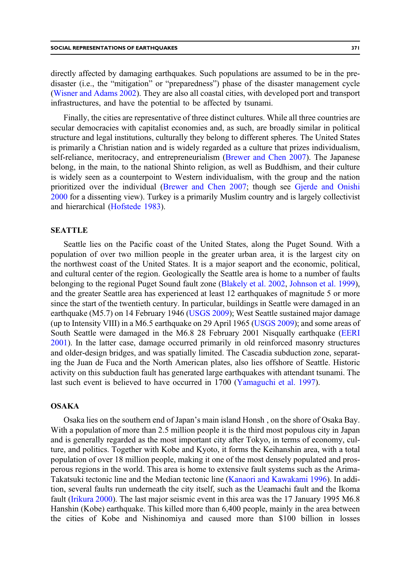directly affected by damaging earthquakes. Such populations are assumed to be in the predisaster (i.e., the "mitigation" or "preparedness") phase of the disaster management cycle [\(Wisner and Adams 2002\)](#page-30-0). They are also all coastal cities, with developed port and transport infrastructures, and have the potential to be affected by tsunami.

Finally, the cities are representative of three distinct cultures. While all three countries are secular democracies with capitalist economies and, as such, are broadly similar in political structure and legal institutions, culturally they belong to different spheres. The United States is primarily a Christian nation and is widely regarded as a culture that prizes individualism, self-reliance, meritocracy, and entrepreneurialism ([Brewer and Chen 2007\)](#page-27-0). The Japanese belong, in the main, to the national Shinto religion, as well as Buddhism, and their culture is widely seen as a counterpoint to Western individualism, with the group and the nation prioritized over the individual ([Brewer and Chen 2007;](#page-27-0) though see [Gjerde and Onishi](#page-28-0) [2000](#page-28-0) for a dissenting view). Turkey is a primarily Muslim country and is largely collectivist and hierarchical [\(Hofstede 1983\)](#page-28-0).

#### SEATTLE

Seattle lies on the Pacific coast of the United States, along the Puget Sound. With a population of over two million people in the greater urban area, it is the largest city on the northwest coast of the United States. It is a major seaport and the economic, political, and cultural center of the region. Geologically the Seattle area is home to a number of faults belonging to the regional Puget Sound fault zone ([Blakely et al. 2002,](#page-27-0) [Johnson et al. 1999](#page-28-0)), and the greater Seattle area has experienced at least 12 earthquakes of magnitude 5 or more since the start of the twentieth century. In particular, buildings in Seattle were damaged in an earthquake (M5.7) on 14 February 1946 ([USGS 2009](#page-30-0)); West Seattle sustained major damage (up to Intensity VIII) in a M6.5 earthquake on 29 April 1965 [\(USGS 2009](#page-30-0)); and some areas of South Seattle were damaged in the M6.8 28 February 2001 Nisqually earthquake [\(EERI](#page-28-0) [2001\)](#page-28-0). In the latter case, damage occurred primarily in old reinforced masonry structures and older-design bridges, and was spatially limited. The Cascadia subduction zone, separating the Juan de Fuca and the North American plates, also lies offshore of Seattle. Historic activity on this subduction fault has generated large earthquakes with attendant tsunami. The last such event is believed to have occurred in 1700 [\(Yamaguchi et al. 1997](#page-30-0)).

## **OSAKA**

Osaka lies on the southern end of Japan's main island Honsh , on the shore of Osaka Bay. With a population of more than 2.5 million people it is the third most populous city in Japan and is generally regarded as the most important city after Tokyo, in terms of economy, culture, and politics. Together with Kobe and Kyoto, it forms the Keihanshin area, with a total population of over 18 million people, making it one of the most densely populated and prosperous regions in the world. This area is home to extensive fault systems such as the Arima-Takatsuki tectonic line and the Median tectonic line ([Kanaori and Kawakami 1996](#page-28-0)). In addition, several faults run underneath the city itself, such as the Ueamachi fault and the Ikoma fault ([Irikura 2000](#page-28-0)). The last major seismic event in this area was the 17 January 1995 M6.8 Hanshin (Kobe) earthquake. This killed more than 6,400 people, mainly in the area between the cities of Kobe and Nishinomiya and caused more than \$100 billion in losses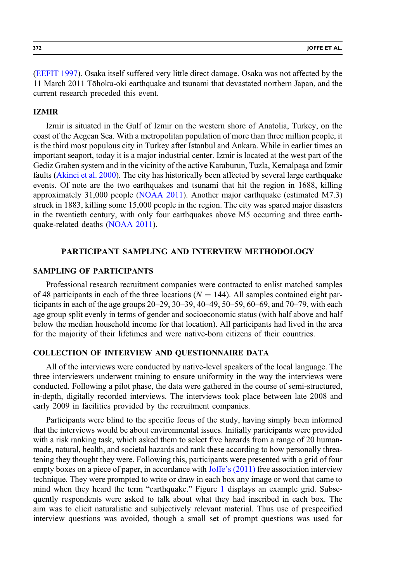[\(EEFIT 1997](#page-28-0)). Osaka itself suffered very little direct damage. Osaka was not affected by the 11 March 2011 Tōhoku-oki earthquake and tsunami that devastated northern Japan, and the current research preceded this event.

## IZMIR

Izmir is situated in the Gulf of Izmir on the western shore of Anatolia, Turkey, on the coast of the Aegean Sea. With a metropolitan population of more than three million people, it is the third most populous city in Turkey after Istanbul and Ankara. While in earlier times an important seaport, today it is a major industrial center. Izmir is located at the west part of the Gediz Graben system and in the vicinity of the active Karaburun, Tuzla, Kemalpaşa and Izmir faults ([Akinci et al. 2000](#page-27-0)). The city has historically been affected by several large earthquake events. Of note are the two earthquakes and tsunami that hit the region in 1688, killing approximately 31,000 people ([NOAA 2011\)](#page-29-0). Another major earthquake (estimated M7.3) struck in 1883, killing some 15,000 people in the region. The city was spared major disasters in the twentieth century, with only four earthquakes above M5 occurring and three earthquake-related deaths [\(NOAA 2011\)](#page-29-0).

# PARTICIPANT SAMPLING AND INTERVIEW METHODOLOGY

# SAMPLING OF PARTICIPANTS

Professional research recruitment companies were contracted to enlist matched samples of 48 participants in each of the three locations ( $N = 144$ ). All samples contained eight participants in each of the age groups  $20-29$ ,  $30-39$ ,  $40-49$ ,  $50-59$ ,  $60-69$ , and  $70-79$ , with each age group split evenly in terms of gender and socioeconomic status (with half above and half below the median household income for that location). All participants had lived in the area for the majority of their lifetimes and were native-born citizens of their countries.

# COLLECTION OF INTERVIEW AND QUESTIONNAIRE DATA

All of the interviews were conducted by native-level speakers of the local language. The three interviewers underwent training to ensure uniformity in the way the interviews were conducted. Following a pilot phase, the data were gathered in the course of semi-structured, in-depth, digitally recorded interviews. The interviews took place between late 2008 and early 2009 in facilities provided by the recruitment companies.

Participants were blind to the specific focus of the study, having simply been informed that the interviews would be about environmental issues. Initially participants were provided with a risk ranking task, which asked them to select five hazards from a range of 20 humanmade, natural, health, and societal hazards and rank these according to how personally threatening they thought they were. Following this, participants were presented with a grid of four empty boxes on a piece of paper, in accordance with Joffe'[s \(2011\)](#page-28-0) free association interview technique. They were prompted to write or draw in each box any image or word that came to mind when they heard the term "earthquake." Figure [1](#page-6-0) displays an example grid. Subsequently respondents were asked to talk about what they had inscribed in each box. The aim was to elicit naturalistic and subjectively relevant material. Thus use of prespecified interview questions was avoided, though a small set of prompt questions was used for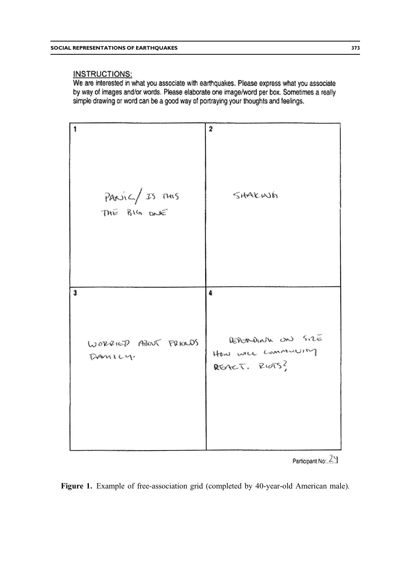# <span id="page-6-0"></span>**INSTRUCTIONS:**

We are interested in what you associate with earthquakes. Please express what you associate by way of images and/or words. Please elaborate one image/word per box. Sometimes a really simple drawing or word can be a good way of portraying your thoughts and feelings.



Participant No. 25

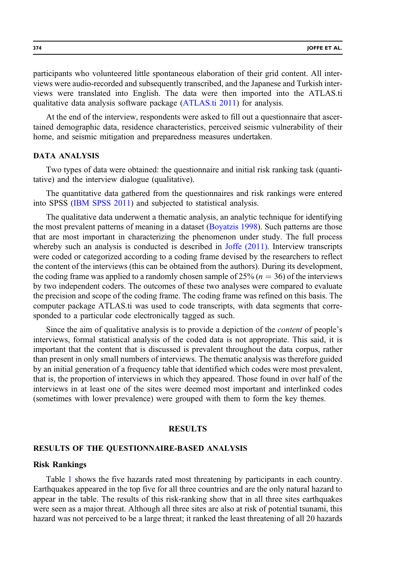participants who volunteered little spontaneous elaboration of their grid content. All interviews were audio-recorded and subsequently transcribed, and the Japanese and Turkish interviews were translated into English. The data were then imported into the ATLAS.ti qualitative data analysis software package [\(ATLAS.ti 2011](#page-27-0)) for analysis.

At the end of the interview, respondents were asked to fill out a questionnaire that ascertained demographic data, residence characteristics, perceived seismic vulnerability of their home, and seismic mitigation and preparedness measures undertaken.

#### DATA ANALYSIS

Two types of data were obtained: the questionnaire and initial risk ranking task (quantitative) and the interview dialogue (qualitative).

The quantitative data gathered from the questionnaires and risk rankings were entered into SPSS ([IBM SPSS 2011\)](#page-28-0) and subjected to statistical analysis.

The qualitative data underwent a thematic analysis, an analytic technique for identifying the most prevalent patterns of meaning in a dataset ([Boyatzis 1998\)](#page-27-0). Such patterns are those that are most important in characterizing the phenomenon under study. The full process whereby such an analysis is conducted is described in [Joffe \(2011\).](#page-28-0) Interview transcripts were coded or categorized according to a coding frame devised by the researchers to reflect the content of the interviews (this can be obtained from the authors). During its development, the coding frame was applied to a randomly chosen sample of  $25\%$  ( $n = 36$ ) of the interviews by two independent coders. The outcomes of these two analyses were compared to evaluate the precision and scope of the coding frame. The coding frame was refined on this basis. The computer package ATLAS.ti was used to code transcripts, with data segments that corresponded to a particular code electronically tagged as such.

Since the aim of qualitative analysis is to provide a depiction of the *content* of people's interviews, formal statistical analysis of the coded data is not appropriate. This said, it is important that the content that is discussed is prevalent throughout the data corpus, rather than present in only small numbers of interviews. The thematic analysis was therefore guided by an initial generation of a frequency table that identified which codes were most prevalent, that is, the proportion of interviews in which they appeared. Those found in over half of the interviews in at least one of the sites were deemed most important and interlinked codes (sometimes with lower prevalence) were grouped with them to form the key themes.

## RESULTS

#### RESULTS OF THE QUESTIONNAIRE-BASED ANALYSIS

#### Risk Rankings

Table [1](#page-8-0) shows the five hazards rated most threatening by participants in each country. Earthquakes appeared in the top five for all three countries and are the only natural hazard to appear in the table. The results of this risk-ranking show that in all three sites earthquakes were seen as a major threat. Although all three sites are also at risk of potential tsunami, this hazard was not perceived to be a large threat; it ranked the least threatening of all 20 hazards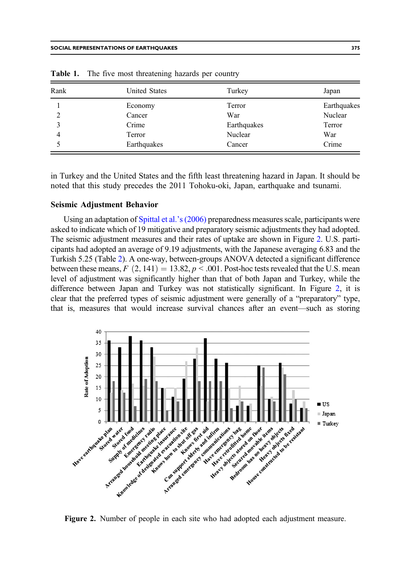| Rank | <b>United States</b> | Turkey      | Japan       |
|------|----------------------|-------------|-------------|
|      | Economy              | Terror      | Earthquakes |
|      | Cancer               | War         | Nuclear     |
|      | Crime                | Earthquakes | Terror      |
| 4    | Terror               | Nuclear     | War         |
|      | Earthquakes          | Cancer      | Crime       |

<span id="page-8-0"></span>Table 1. The five most threatening hazards per country

in Turkey and the United States and the fifth least threatening hazard in Japan. It should be noted that this study precedes the 2011 Tohoku-oki, Japan, earthquake and tsunami.

## Seismic Adjustment Behavior

Using an adaptation of [Spittal et al.](#page-29-0)'s (2006) preparedness measures scale, participants were asked to indicate which of 19 mitigative and preparatory seismic adjustments they had adopted. The seismic adjustment measures and their rates of uptake are shown in Figure 2. U.S. participants had adopted an average of 9.19 adjustments, with the Japanese averaging 6.83 and the Turkish 5.25 (Table [2](#page-9-0)). A one-way, between-groups ANOVA detected a significant difference between these means,  $F(2, 141) = 13.82, p < .001$ . Post-hoc tests revealed that the U.S. mean level of adjustment was significantly higher than that of both Japan and Turkey, while the difference between Japan and Turkey was not statistically significant. In Figure 2, it is clear that the preferred types of seismic adjustment were generally of a "preparatory" type, that is, measures that would increase survival chances after an event—such as storing



Figure 2. Number of people in each site who had adopted each adjustment measure.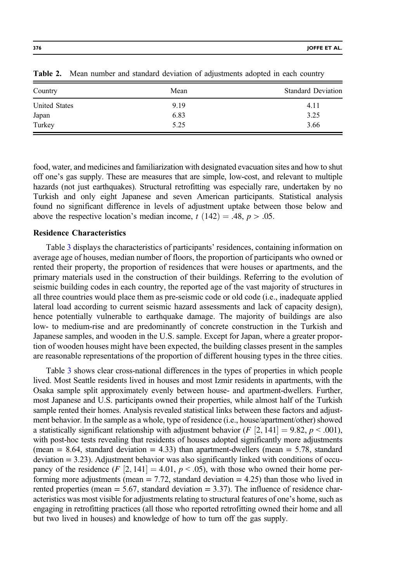| Country              | Mean | <b>Standard Deviation</b> |
|----------------------|------|---------------------------|
| <b>United States</b> | 9.19 | 4.11                      |
| Japan                | 6.83 | 3.25                      |
| Turkey               | 5.25 | 3.66                      |

<span id="page-9-0"></span>Table 2. Mean number and standard deviation of adjustments adopted in each country

food, water, and medicines and familiarization with designated evacuation sites and how to shut off one's gas supply. These are measures that are simple, low-cost, and relevant to multiple hazards (not just earthquakes). Structural retrofitting was especially rare, undertaken by no Turkish and only eight Japanese and seven American participants. Statistical analysis found no significant difference in levels of adjustment uptake between those below and above the respective location's median income,  $t(142) = .48$ ,  $p > .05$ .

## Residence Characteristics

Table [3](#page-10-0) displays the characteristics of participants' residences, containing information on average age of houses, median number of floors, the proportion of participants who owned or rented their property, the proportion of residences that were houses or apartments, and the primary materials used in the construction of their buildings. Referring to the evolution of seismic building codes in each country, the reported age of the vast majority of structures in all three countries would place them as pre-seismic code or old code (i.e., inadequate applied lateral load according to current seismic hazard assessments and lack of capacity design), hence potentially vulnerable to earthquake damage. The majority of buildings are also low- to medium-rise and are predominantly of concrete construction in the Turkish and Japanese samples, and wooden in the U.S. sample. Except for Japan, where a greater proportion of wooden houses might have been expected, the building classes present in the samples are reasonable representations of the proportion of different housing types in the three cities.

Table [3](#page-10-0) shows clear cross-national differences in the types of properties in which people lived. Most Seattle residents lived in houses and most Izmir residents in apartments, with the Osaka sample split approximately evenly between house- and apartment-dwellers. Further, most Japanese and U.S. participants owned their properties, while almost half of the Turkish sample rented their homes. Analysis revealed statistical links between these factors and adjustment behavior. In the sample as a whole, type of residence (i.e., house/apartment/other) showed a statistically significant relationship with adjustment behavior ( $F$  [2, 141] = 9.82,  $p < .001$ ), with post-hoc tests revealing that residents of houses adopted significantly more adjustments (mean  $= 8.64$ , standard deviation  $= 4.33$ ) than apartment-dwellers (mean  $= 5.78$ , standard  $deviation = 3.23$ . Adjustment behavior was also significantly linked with conditions of occupancy of the residence  $(F [2, 141] = 4.01, p < .05)$ , with those who owned their home performing more adjustments (mean  $= 7.72$ , standard deviation  $= 4.25$ ) than those who lived in rented properties (mean  $= 5.67$ , standard deviation  $= 3.37$ ). The influence of residence characteristics was most visible for adjustments relating to structural features of one's home, such as engaging in retrofitting practices (all those who reported retrofitting owned their home and all but two lived in houses) and knowledge of how to turn off the gas supply.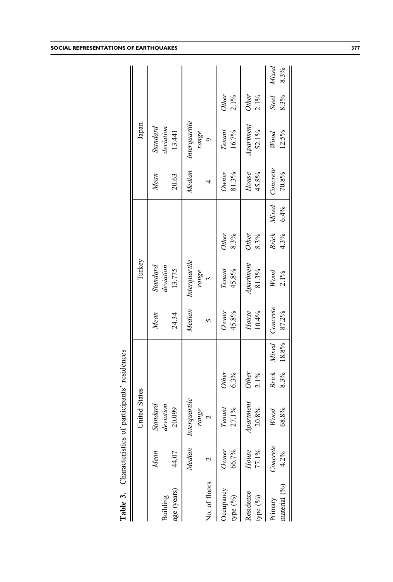<span id="page-10-0"></span>

|                         |                  | United States                       |                         |                     |                   | Turkey                                |                      |                     |                   | Japan                             |                         |               |
|-------------------------|------------------|-------------------------------------|-------------------------|---------------------|-------------------|---------------------------------------|----------------------|---------------------|-------------------|-----------------------------------|-------------------------|---------------|
| age (years)<br>Building | Mean<br>44.07    | leviation<br>Standard<br>20.099     |                         |                     | 24.34<br>Mean     | Standard<br>deviation<br>13.775       |                      |                     | 20.63<br>Mean     | Standard<br>deviation<br>13.441   |                         |               |
| No. of floors           | Median           | terquartile<br>range<br>$\tilde{z}$ |                         |                     | Median            | Interquartile<br>range<br>$\tilde{3}$ |                      |                     | Median            | Interquartile<br>range<br>$\circ$ |                         |               |
| Occupancy<br>type (%)   | 66.7%<br>Owner   | 27.1%<br>Tenant                     | <b>Other</b><br>6.3%    |                     | 45.8%<br>Owner    | Tenant<br>45.8%                       | <b>Other</b><br>8.3% |                     | 81.3%<br>Owner    | 16.7%<br>Tenant                   | Other<br>$2.1\%$        |               |
| Residence<br>type (%)   | House<br>77.1%   | Apartment<br>20.8%                  | <b>Other</b><br>$2.1\%$ |                     | House<br>10.4%    | Apartment<br>81.3%                    | <b>Other</b><br>8.3% |                     | House<br>45.8%    | Apartment<br>52.1%                | <b>Other</b><br>$2.1\%$ |               |
| material (%)<br>Primary | Concrete<br>4.2% | 68.8%<br>Wood                       | Brick                   | 8.3% 18.8%<br>Mixed | Concrete<br>87.2% | Wood<br>2.1%                          | 4.3%                 | Brick Mixed<br>6.4% | Concrete<br>70.8% | 12.5%<br>Wood                     | <b>Steel</b><br>8.3%    | Mixed<br>8.3% |
|                         |                  |                                     |                         |                     |                   |                                       |                      |                     |                   |                                   |                         |               |

Table 3. Characteristics of participants' residences Table 3. Characteristics of participants' residences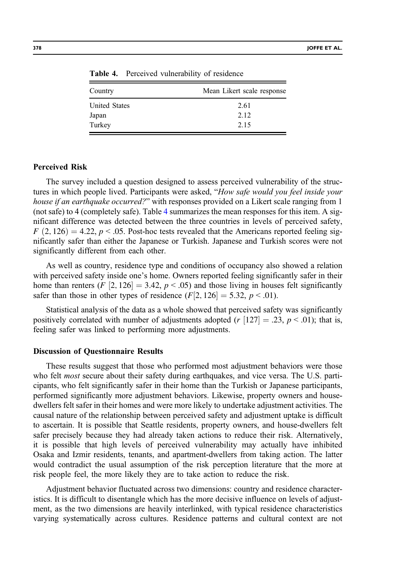| Country              | Mean Likert scale response |
|----------------------|----------------------------|
| <b>United States</b> | 2.61                       |
| Japan                | 2.12                       |
| Turkey               | 2.15                       |

Table 4. Perceived vulnerability of residence

#### Perceived Risk

The survey included a question designed to assess perceived vulnerability of the structures in which people lived. Participants were asked, "How safe would you feel inside your house if an earthquake occurred?" with responses provided on a Likert scale ranging from 1 (not safe) to 4 (completely safe). Table 4 summarizes the mean responses for this item. A significant difference was detected between the three countries in levels of perceived safety,  $F(2, 126) = 4.22$ ,  $p < .05$ . Post-hoc tests revealed that the Americans reported feeling significantly safer than either the Japanese or Turkish. Japanese and Turkish scores were not significantly different from each other.

As well as country, residence type and conditions of occupancy also showed a relation with perceived safety inside one's home. Owners reported feeling significantly safer in their home than renters  $(F [2, 126] = 3.42, p < .05)$  and those living in houses felt significantly safer than those in other types of residence  $(F[2, 126] = 5.32, p < .01)$ .

Statistical analysis of the data as a whole showed that perceived safety was significantly positively correlated with number of adjustments adopted ( $r$  [127] = .23,  $p$  < .01); that is, feeling safer was linked to performing more adjustments.

#### Discussion of Questionnaire Results

These results suggest that those who performed most adjustment behaviors were those who felt most secure about their safety during earthquakes, and vice versa. The U.S. participants, who felt significantly safer in their home than the Turkish or Japanese participants, performed significantly more adjustment behaviors. Likewise, property owners and housedwellers felt safer in their homes and were more likely to undertake adjustment activities. The causal nature of the relationship between perceived safety and adjustment uptake is difficult to ascertain. It is possible that Seattle residents, property owners, and house-dwellers felt safer precisely because they had already taken actions to reduce their risk. Alternatively, it is possible that high levels of perceived vulnerability may actually have inhibited Osaka and Izmir residents, tenants, and apartment-dwellers from taking action. The latter would contradict the usual assumption of the risk perception literature that the more at risk people feel, the more likely they are to take action to reduce the risk.

Adjustment behavior fluctuated across two dimensions: country and residence characteristics. It is difficult to disentangle which has the more decisive influence on levels of adjustment, as the two dimensions are heavily interlinked, with typical residence characteristics varying systematically across cultures. Residence patterns and cultural context are not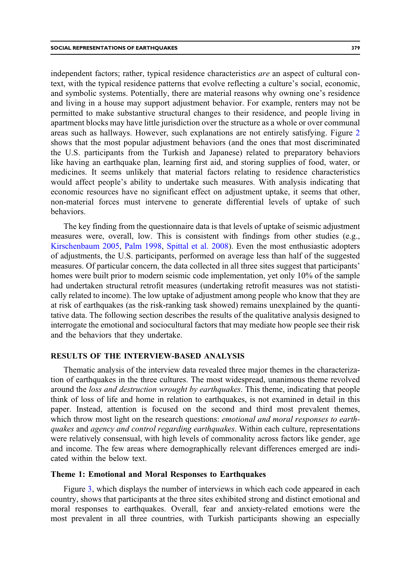independent factors; rather, typical residence characteristics *are* an aspect of cultural context, with the typical residence patterns that evolve reflecting a culture's social, economic, and symbolic systems. Potentially, there are material reasons why owning one's residence and living in a house may support adjustment behavior. For example, renters may not be permitted to make substantive structural changes to their residence, and people living in apartment blocks may have little jurisdiction over the structure as a whole or over communal areas such as hallways. However, such explanations are not entirely satisfying. Figure [2](#page-8-0) shows that the most popular adjustment behaviors (and the ones that most discriminated the U.S. participants from the Turkish and Japanese) related to preparatory behaviors like having an earthquake plan, learning first aid, and storing supplies of food, water, or medicines. It seems unlikely that material factors relating to residence characteristics would affect people's ability to undertake such measures. With analysis indicating that economic resources have no significant effect on adjustment uptake, it seems that other, non-material forces must intervene to generate differential levels of uptake of such behaviors.

The key finding from the questionnaire data is that levels of uptake of seismic adjustment measures were, overall, low. This is consistent with findings from other studies (e.g., [Kirschenbaum 2005,](#page-28-0) [Palm 1998](#page-29-0), [Spittal et al. 2008\)](#page-29-0). Even the most enthusiastic adopters of adjustments, the U.S. participants, performed on average less than half of the suggested measures. Of particular concern, the data collected in all three sites suggest that participants' homes were built prior to modern seismic code implementation, yet only 10% of the sample had undertaken structural retrofit measures (undertaking retrofit measures was not statistically related to income). The low uptake of adjustment among people who know that they are at risk of earthquakes (as the risk-ranking task showed) remains unexplained by the quantitative data. The following section describes the results of the qualitative analysis designed to interrogate the emotional and sociocultural factors that may mediate how people see their risk and the behaviors that they undertake.

#### RESULTS OF THE INTERVIEW-BASED ANALYSIS

Thematic analysis of the interview data revealed three major themes in the characterization of earthquakes in the three cultures. The most widespread, unanimous theme revolved around the *loss and destruction wrought by earthquakes*. This theme, indicating that people think of loss of life and home in relation to earthquakes, is not examined in detail in this paper. Instead, attention is focused on the second and third most prevalent themes, which throw most light on the research questions: *emotional and moral responses to earth*quakes and agency and control regarding earthquakes. Within each culture, representations were relatively consensual, with high levels of commonality across factors like gender, age and income. The few areas where demographically relevant differences emerged are indicated within the below text.

## Theme 1: Emotional and Moral Responses to Earthquakes

Figure [3,](#page-13-0) which displays the number of interviews in which each code appeared in each country, shows that participants at the three sites exhibited strong and distinct emotional and moral responses to earthquakes. Overall, fear and anxiety-related emotions were the most prevalent in all three countries, with Turkish participants showing an especially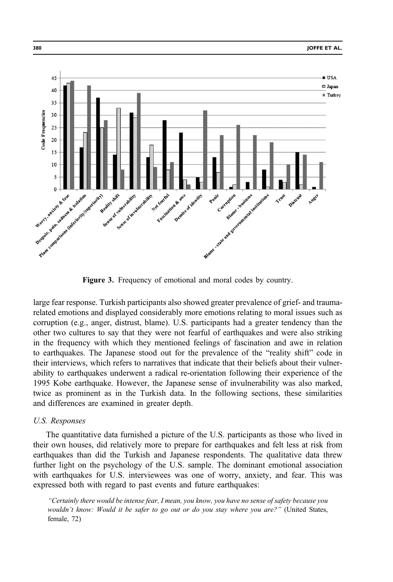<span id="page-13-0"></span>

Figure 3. Frequency of emotional and moral codes by country.

large fear response. Turkish participants also showed greater prevalence of grief- and traumarelated emotions and displayed considerably more emotions relating to moral issues such as corruption (e.g., anger, distrust, blame). U.S. participants had a greater tendency than the other two cultures to say that they were not fearful of earthquakes and were also striking in the frequency with which they mentioned feelings of fascination and awe in relation to earthquakes. The Japanese stood out for the prevalence of the "reality shift" code in their interviews, which refers to narratives that indicate that their beliefs about their vulnerability to earthquakes underwent a radical re-orientation following their experience of the 1995 Kobe earthquake. However, the Japanese sense of invulnerability was also marked, twice as prominent as in the Turkish data. In the following sections, these similarities and differences are examined in greater depth.

# U.S. Responses

The quantitative data furnished a picture of the U.S. participants as those who lived in their own houses, did relatively more to prepare for earthquakes and felt less at risk from earthquakes than did the Turkish and Japanese respondents. The qualitative data threw further light on the psychology of the U.S. sample. The dominant emotional association with earthquakes for U.S. interviewees was one of worry, anxiety, and fear. This was expressed both with regard to past events and future earthquakes:

"Certainly there would be intense fear, I mean, you know, you have no sense of safety because you wouldn't know: Would it be safer to go out or do you stay where you are?" (United States, female, 72)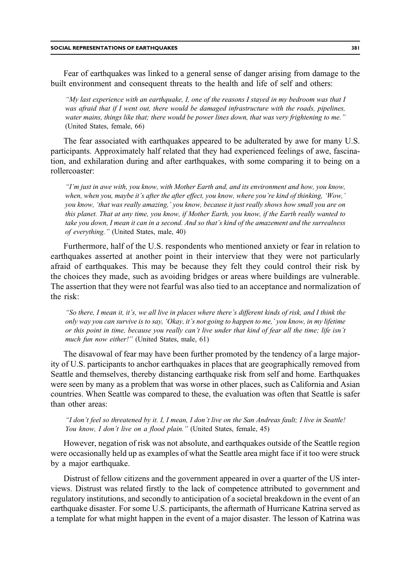Fear of earthquakes was linked to a general sense of danger arising from damage to the built environment and consequent threats to the health and life of self and others:

"My last experience with an earthquake, I, one of the reasons I stayed in my bedroom was that I was afraid that if I went out, there would be damaged infrastructure with the roads, pipelines, water mains, things like that; there would be power lines down, that was very frightening to me." (United States, female, 66)

The fear associated with earthquakes appeared to be adulterated by awe for many U.S. participants. Approximately half related that they had experienced feelings of awe, fascination, and exhilaration during and after earthquakes, with some comparing it to being on a rollercoaster:

"I'm just in awe with, you know, with Mother Earth and, and its environment and how, you know, when, when you, maybe it's after the after effect, you know, where you're kind of thinking, 'Wow,' you know, 'that was really amazing,' you know, because it just really shows how small you are on this planet. That at any time, you know, if Mother Earth, you know, if the Earth really wanted to take you down, I mean it can in a second. And so that's kind of the amazement and the surrealness of everything." (United States, male, 40)

Furthermore, half of the U.S. respondents who mentioned anxiety or fear in relation to earthquakes asserted at another point in their interview that they were not particularly afraid of earthquakes. This may be because they felt they could control their risk by the choices they made, such as avoiding bridges or areas where buildings are vulnerable. The assertion that they were not fearful was also tied to an acceptance and normalization of the risk:

"So there, I mean it, it's, we all live in places where there's different kinds of risk, and I think the only way you can survive is to say, 'Okay, it's not going to happen to me,' you know, in my lifetime or this point in time, because you really can't live under that kind of fear all the time; life isn't much fun now either!" (United States, male, 61)

The disavowal of fear may have been further promoted by the tendency of a large majority of U.S. participants to anchor earthquakes in places that are geographically removed from Seattle and themselves, thereby distancing earthquake risk from self and home. Earthquakes were seen by many as a problem that was worse in other places, such as California and Asian countries. When Seattle was compared to these, the evaluation was often that Seattle is safer than other areas:

"I don't feel so threatened by it. I, I mean, I don't live on the San Andreas fault; I live in Seattle! You know, I don't live on a flood plain." (United States, female, 45)

However, negation of risk was not absolute, and earthquakes outside of the Seattle region were occasionally held up as examples of what the Seattle area might face if it too were struck by a major earthquake.

Distrust of fellow citizens and the government appeared in over a quarter of the US interviews. Distrust was related firstly to the lack of competence attributed to government and regulatory institutions, and secondly to anticipation of a societal breakdown in the event of an earthquake disaster. For some U.S. participants, the aftermath of Hurricane Katrina served as a template for what might happen in the event of a major disaster. The lesson of Katrina was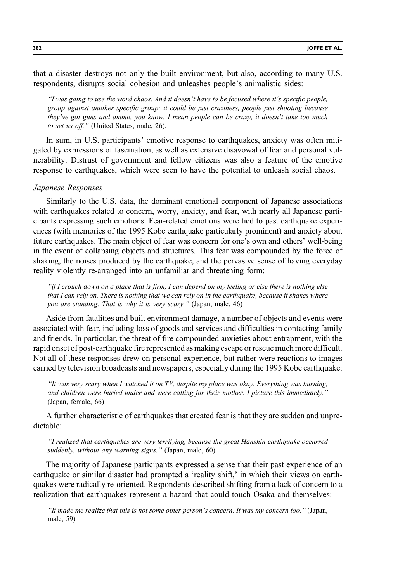that a disaster destroys not only the built environment, but also, according to many U.S. respondents, disrupts social cohesion and unleashes people's animalistic sides:

"I was going to use the word chaos. And it doesn't have to be focused where it's specific people, group against another specific group; it could be just craziness, people just shooting because they've got guns and ammo, you know. I mean people can be crazy, it doesn't take too much to set us off." (United States, male, 26).

In sum, in U.S. participants' emotive response to earthquakes, anxiety was often mitigated by expressions of fascination, as well as extensive disavowal of fear and personal vulnerability. Distrust of government and fellow citizens was also a feature of the emotive response to earthquakes, which were seen to have the potential to unleash social chaos.

#### Japanese Responses

Similarly to the U.S. data, the dominant emotional component of Japanese associations with earthquakes related to concern, worry, anxiety, and fear, with nearly all Japanese participants expressing such emotions. Fear-related emotions were tied to past earthquake experiences (with memories of the 1995 Kobe earthquake particularly prominent) and anxiety about future earthquakes. The main object of fear was concern for one's own and others' well-being in the event of collapsing objects and structures. This fear was compounded by the force of shaking, the noises produced by the earthquake, and the pervasive sense of having everyday reality violently re-arranged into an unfamiliar and threatening form:

"if I crouch down on a place that is firm, I can depend on my feeling or else there is nothing else that I can rely on. There is nothing that we can rely on in the earthquake, because it shakes where you are standing. That is why it is very scary." (Japan, male, 46)

Aside from fatalities and built environment damage, a number of objects and events were associated with fear, including loss of goods and services and difficulties in contacting family and friends. In particular, the threat of fire compounded anxieties about entrapment, with the rapid onset of post-earthquake fire represented as making escape or rescue much more difficult. Not all of these responses drew on personal experience, but rather were reactions to images carried by television broadcasts and newspapers, especially during the 1995 Kobe earthquake:

"It was very scary when I watched it on TV, despite my place was okay. Everything was burning, and children were buried under and were calling for their mother. I picture this immediately." (Japan, female, 66)

A further characteristic of earthquakes that created fear is that they are sudden and unpredictable:

"I realized that earthquakes are very terrifying, because the great Hanshin earthquake occurred suddenly, without any warning signs." (Japan, male, 60)

The majority of Japanese participants expressed a sense that their past experience of an earthquake or similar disaster had prompted a 'reality shift,' in which their views on earthquakes were radically re-oriented. Respondents described shifting from a lack of concern to a realization that earthquakes represent a hazard that could touch Osaka and themselves:

"It made me realize that this is not some other person's concern. It was my concern too." (Japan, male, 59)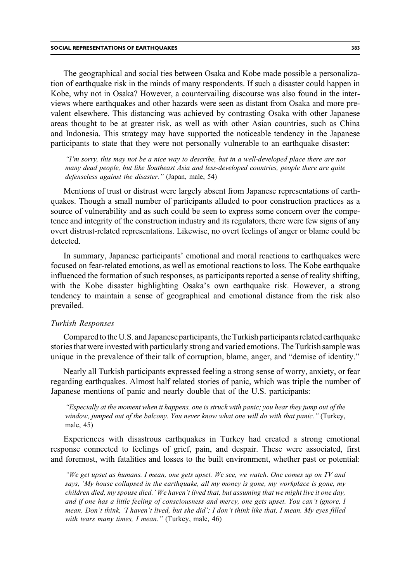The geographical and social ties between Osaka and Kobe made possible a personalization of earthquake risk in the minds of many respondents. If such a disaster could happen in Kobe, why not in Osaka? However, a countervailing discourse was also found in the interviews where earthquakes and other hazards were seen as distant from Osaka and more prevalent elsewhere. This distancing was achieved by contrasting Osaka with other Japanese areas thought to be at greater risk, as well as with other Asian countries, such as China and Indonesia. This strategy may have supported the noticeable tendency in the Japanese participants to state that they were not personally vulnerable to an earthquake disaster:

"I'm sorry, this may not be a nice way to describe, but in a well-developed place there are not many dead people, but like Southeast Asia and less-developed countries, people there are quite defenseless against the disaster." (Japan, male, 54)

Mentions of trust or distrust were largely absent from Japanese representations of earthquakes. Though a small number of participants alluded to poor construction practices as a source of vulnerability and as such could be seen to express some concern over the competence and integrity of the construction industry and its regulators, there were few signs of any overt distrust-related representations. Likewise, no overt feelings of anger or blame could be detected.

In summary, Japanese participants' emotional and moral reactions to earthquakes were focused on fear-related emotions, as well as emotional reactions to loss. The Kobe earthquake influenced the formation of such responses, as participants reported a sense of reality shifting, with the Kobe disaster highlighting Osaka's own earthquake risk. However, a strong tendency to maintain a sense of geographical and emotional distance from the risk also prevailed.

## Turkish Responses

Compared to the U.S. and Japanese participants, the Turkish participants related earthquake stories that were invested with particularly strong and varied emotions. The Turkish sample was unique in the prevalence of their talk of corruption, blame, anger, and "demise of identity."

Nearly all Turkish participants expressed feeling a strong sense of worry, anxiety, or fear regarding earthquakes. Almost half related stories of panic, which was triple the number of Japanese mentions of panic and nearly double that of the U.S. participants:

"Especially at the moment when it happens, one is struck with panic; you hear they jump out of the window, jumped out of the balcony. You never know what one will do with that panic." (Turkey, male, 45)

Experiences with disastrous earthquakes in Turkey had created a strong emotional response connected to feelings of grief, pain, and despair. These were associated, first and foremost, with fatalities and losses to the built environment, whether past or potential:

"We get upset as humans. I mean, one gets upset. We see, we watch. One comes up on TV and says, 'My house collapsed in the earthquake, all my money is gone, my workplace is gone, my children died, my spouse died.' We haven't lived that, but assuming that we might live it one day, and if one has a little feeling of consciousness and mercy, one gets upset. You can't ignore, I mean. Don't think, 'I haven't lived, but she did'; I don't think like that, I mean. My eyes filled with tears many times, I mean." (Turkey, male, 46)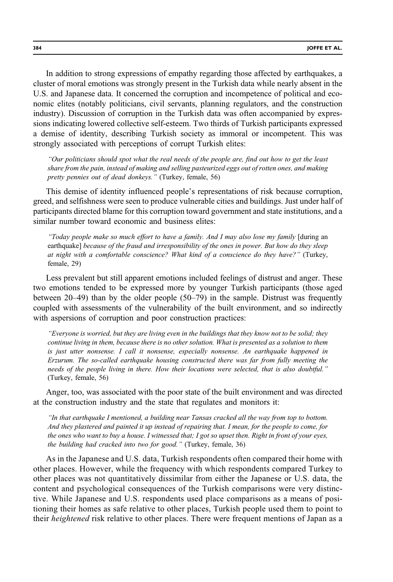In addition to strong expressions of empathy regarding those affected by earthquakes, a cluster of moral emotions was strongly present in the Turkish data while nearly absent in the U.S. and Japanese data. It concerned the corruption and incompetence of political and economic elites (notably politicians, civil servants, planning regulators, and the construction industry). Discussion of corruption in the Turkish data was often accompanied by expressions indicating lowered collective self-esteem. Two thirds of Turkish participants expressed a demise of identity, describing Turkish society as immoral or incompetent. This was strongly associated with perceptions of corrupt Turkish elites:

"Our politicians should spot what the real needs of the people are, find out how to get the least share from the pain, instead of making and selling pasteurized eggs out of rotten ones, and making pretty pennies out of dead donkeys." (Turkey, female, 56)

This demise of identity influenced people's representations of risk because corruption, greed, and selfishness were seen to produce vulnerable cities and buildings. Just under half of participants directed blame for this corruption toward government and state institutions, and a similar number toward economic and business elites:

"Today people make so much effort to have a family. And I may also lose my family [during an earthquake] because of the fraud and irresponsibility of the ones in power. But how do they sleep at night with a comfortable conscience? What kind of a conscience do they have?" (Turkey, female, 29)

Less prevalent but still apparent emotions included feelings of distrust and anger. These two emotions tended to be expressed more by younger Turkish participants (those aged between 20–49) than by the older people (50–79) in the sample. Distrust was frequently coupled with assessments of the vulnerability of the built environment, and so indirectly with aspersions of corruption and poor construction practices:

"Everyone is worried, but they are living even in the buildings that they know not to be solid; they continue living in them, because there is no other solution. What is presented as a solution to them is just utter nonsense. I call it nonsense, especially nonsense. An earthquake happened in Erzurum. The so-called earthquake housing constructed there was far from fully meeting the needs of the people living in there. How their locations were selected, that is also doubtful." (Turkey, female, 56)

Anger, too, was associated with the poor state of the built environment and was directed at the construction industry and the state that regulates and monitors it:

"In that earthquake I mentioned, a building near Tansas cracked all the way from top to bottom. And they plastered and painted it up instead of repairing that. I mean, for the people to come, for the ones who want to buy a house. I witnessed that; I got so upset then. Right in front of your eyes, the building had cracked into two for good." (Turkey, female, 36)

As in the Japanese and U.S. data, Turkish respondents often compared their home with other places. However, while the frequency with which respondents compared Turkey to other places was not quantitatively dissimilar from either the Japanese or U.S. data, the content and psychological consequences of the Turkish comparisons were very distinctive. While Japanese and U.S. respondents used place comparisons as a means of positioning their homes as safe relative to other places, Turkish people used them to point to their *heightened* risk relative to other places. There were frequent mentions of Japan as a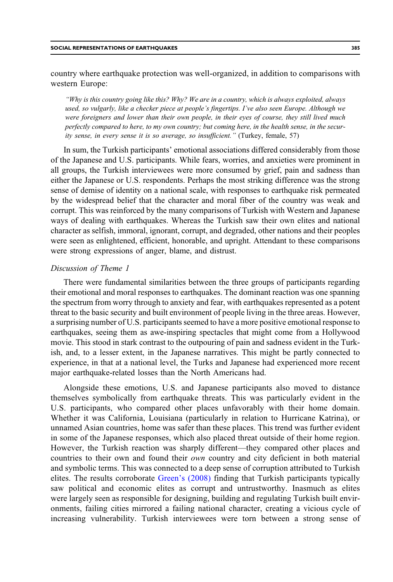"Why is this country going like this? Why? We are in a country, which is always exploited, always used, so vulgarly, like a checker piece at people's fingertips. I've also seen Europe. Although we were foreigners and lower than their own people, in their eyes of course, they still lived much perfectly compared to here, to my own country; but coming here, in the health sense, in the security sense, in every sense it is so average, so insufficient." (Turkey, female, 57)

In sum, the Turkish participants' emotional associations differed considerably from those of the Japanese and U.S. participants. While fears, worries, and anxieties were prominent in all groups, the Turkish interviewees were more consumed by grief, pain and sadness than either the Japanese or U.S. respondents. Perhaps the most striking difference was the strong sense of demise of identity on a national scale, with responses to earthquake risk permeated by the widespread belief that the character and moral fiber of the country was weak and corrupt. This was reinforced by the many comparisons of Turkish with Western and Japanese ways of dealing with earthquakes. Whereas the Turkish saw their own elites and national character as selfish, immoral, ignorant, corrupt, and degraded, other nations and their peoples were seen as enlightened, efficient, honorable, and upright. Attendant to these comparisons were strong expressions of anger, blame, and distrust.

## Discussion of Theme 1

There were fundamental similarities between the three groups of participants regarding their emotional and moral responses to earthquakes. The dominant reaction was one spanning the spectrum from worry through to anxiety and fear, with earthquakes represented as a potent threat to the basic security and built environment of people living in the three areas. However, a surprising number of U.S. participants seemed to have a more positive emotional response to earthquakes, seeing them as awe-inspiring spectacles that might come from a Hollywood movie. This stood in stark contrast to the outpouring of pain and sadness evident in the Turkish, and, to a lesser extent, in the Japanese narratives. This might be partly connected to experience, in that at a national level, the Turks and Japanese had experienced more recent major earthquake-related losses than the North Americans had.

Alongside these emotions, U.S. and Japanese participants also moved to distance themselves symbolically from earthquake threats. This was particularly evident in the U.S. participants, who compared other places unfavorably with their home domain. Whether it was California, Louisiana (particularly in relation to Hurricane Katrina), or unnamed Asian countries, home was safer than these places. This trend was further evident in some of the Japanese responses, which also placed threat outside of their home region. However, the Turkish reaction was sharply different—they compared other places and countries to their own and found their *own* country and city deficient in both material and symbolic terms. This was connected to a deep sense of corruption attributed to Turkish elites. The results corroborate Green'[s \(2008\)](#page-28-0) finding that Turkish participants typically saw political and economic elites as corrupt and untrustworthy. Inasmuch as elites were largely seen as responsible for designing, building and regulating Turkish built environments, failing cities mirrored a failing national character, creating a vicious cycle of increasing vulnerability. Turkish interviewees were torn between a strong sense of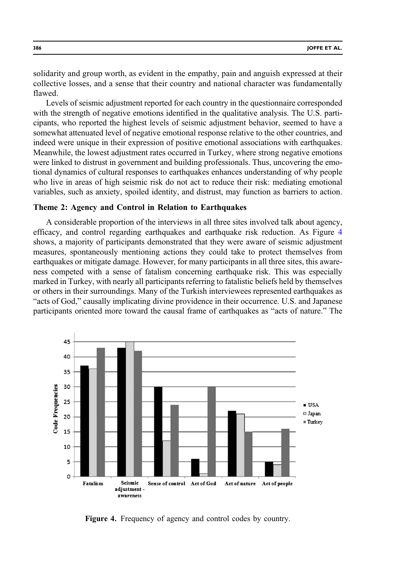solidarity and group worth, as evident in the empathy, pain and anguish expressed at their collective losses, and a sense that their country and national character was fundamentally flawed.

Levels of seismic adjustment reported for each country in the questionnaire corresponded with the strength of negative emotions identified in the qualitative analysis. The U.S. participants, who reported the highest levels of seismic adjustment behavior, seemed to have a somewhat attenuated level of negative emotional response relative to the other countries, and indeed were unique in their expression of positive emotional associations with earthquakes. Meanwhile, the lowest adjustment rates occurred in Turkey, where strong negative emotions were linked to distrust in government and building professionals. Thus, uncovering the emotional dynamics of cultural responses to earthquakes enhances understanding of why people who live in areas of high seismic risk do not act to reduce their risk: mediating emotional variables, such as anxiety, spoiled identity, and distrust, may function as barriers to action.

# Theme 2: Agency and Control in Relation to Earthquakes

A considerable proportion of the interviews in all three sites involved talk about agency, efficacy, and control regarding earthquakes and earthquake risk reduction. As Figure 4 shows, a majority of participants demonstrated that they were aware of seismic adjustment measures, spontaneously mentioning actions they could take to protect themselves from earthquakes or mitigate damage. However, for many participants in all three sites, this awareness competed with a sense of fatalism concerning earthquake risk. This was especially marked in Turkey, with nearly all participants referring to fatalistic beliefs held by themselves or others in their surroundings. Many of the Turkish interviewees represented earthquakes as "acts of God," causally implicating divine providence in their occurrence. U.S. and Japanese participants oriented more toward the causal frame of earthquakes as "acts of nature." The



Figure 4. Frequency of agency and control codes by country.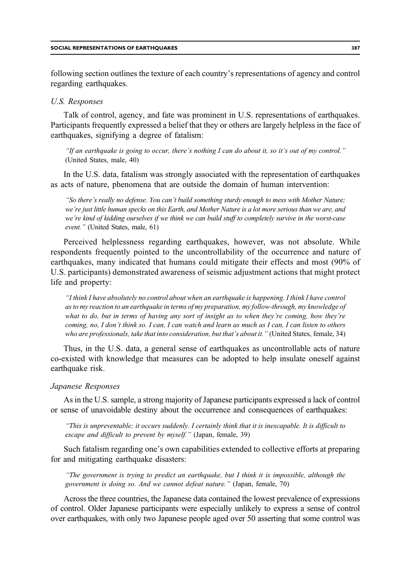following section outlines the texture of each country's representations of agency and control regarding earthquakes.

# U.S. Responses

Talk of control, agency, and fate was prominent in U.S. representations of earthquakes. Participants frequently expressed a belief that they or others are largely helpless in the face of earthquakes, signifying a degree of fatalism:

"If an earthquake is going to occur, there's nothing I can do about it, so it's out of my control." (United States, male, 40)

In the U.S. data, fatalism was strongly associated with the representation of earthquakes as acts of nature, phenomena that are outside the domain of human intervention:

"So there's really no defense. You can't build something sturdy enough to mess with Mother Nature; we're just little human specks on this Earth, and Mother Nature is a lot more serious than we are, and we're kind of kidding ourselves if we think we can build stuff to completely survive in the worst-case event." (United States, male, 61)

Perceived helplessness regarding earthquakes, however, was not absolute. While respondents frequently pointed to the uncontrollability of the occurrence and nature of earthquakes, many indicated that humans could mitigate their effects and most (90% of U.S. participants) demonstrated awareness of seismic adjustment actions that might protect life and property:

"I think I have absolutely no control about when an earthquake is happening. I think I have control as to my reaction to an earthquake in terms of my preparation, my follow-through, my knowledge of what to do, but in terms of having any sort of insight as to when they're coming, how they're coming, no, I don't think so. I can, I can watch and learn as much as I can, I can listen to others who are professionals, take that into consideration, but that's about it." (United States, female, 34)

Thus, in the U.S. data, a general sense of earthquakes as uncontrollable acts of nature co-existed with knowledge that measures can be adopted to help insulate oneself against earthquake risk.

#### Japanese Responses

As in the U.S. sample, a strong majority of Japanese participants expressed a lack of control or sense of unavoidable destiny about the occurrence and consequences of earthquakes:

"This is unpreventable; it occurs suddenly. I certainly think that it is inescapable. It is difficult to escape and difficult to prevent by myself." (Japan, female, 39)

Such fatalism regarding one's own capabilities extended to collective efforts at preparing for and mitigating earthquake disasters:

"The government is trying to predict an earthquake, but I think it is impossible, although the government is doing so. And we cannot defeat nature." (Japan, female, 70)

Across the three countries, the Japanese data contained the lowest prevalence of expressions of control. Older Japanese participants were especially unlikely to express a sense of control over earthquakes, with only two Japanese people aged over 50 asserting that some control was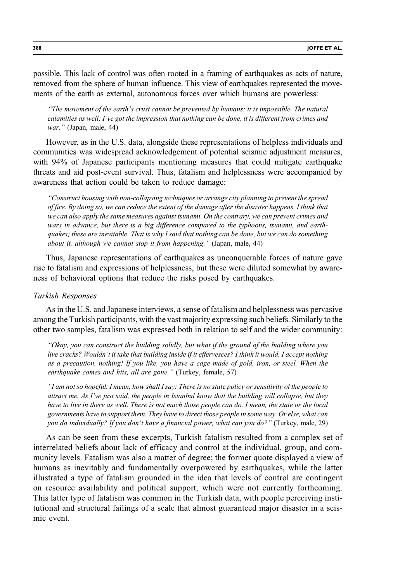possible. This lack of control was often rooted in a framing of earthquakes as acts of nature, removed from the sphere of human influence. This view of earthquakes represented the movements of the earth as external, autonomous forces over which humans are powerless:

"The movement of the earth's crust cannot be prevented by humans; it is impossible. The natural calamities as well; I've got the impression that nothing can be done, it is different from crimes and war." (Japan, male, 44)

However, as in the U.S. data, alongside these representations of helpless individuals and communities was widespread acknowledgement of potential seismic adjustment measures, with 94% of Japanese participants mentioning measures that could mitigate earthquake threats and aid post-event survival. Thus, fatalism and helplessness were accompanied by awareness that action could be taken to reduce damage:

"Construct housing with non-collapsing techniques or arrange city planning to prevent the spread of fire. By doing so, we can reduce the extent of the damage after the disaster happens. I think that we can also apply the same measures against tsunami. On the contrary, we can prevent crimes and wars in advance, but there is a big difference compared to the typhoons, tsunami, and earthquakes; these are inevitable. That is why I said that nothing can be done, but we can do something about it, although we cannot stop it from happening." (Japan, male, 44)

Thus, Japanese representations of earthquakes as unconquerable forces of nature gave rise to fatalism and expressions of helplessness, but these were diluted somewhat by awareness of behavioral options that reduce the risks posed by earthquakes.

#### Turkish Responses

As in the U.S. and Japanese interviews, a sense of fatalism and helplessness was pervasive among the Turkish participants, with the vast majority expressing such beliefs. Similarly to the other two samples, fatalism was expressed both in relation to self and the wider community:

"Okay, you can construct the building solidly, but what if the ground of the building where you live cracks? Wouldn't it take that building inside if it effervesces? I think it would. I accept nothing as a precaution, nothing! If you like, you have a cage made of gold, iron, or steel. When the earthquake comes and hits, all are gone." (Turkey, female, 57)

"I am not so hopeful. I mean, how shall I say: There is no state policy or sensitivity of the people to attract me. As I've just said, the people in Istanbul know that the building will collapse, but they have to live in there as well. There is not much those people can do. I mean, the state or the local governments have to support them. They have to direct those people in some way. Or else, what can you do individually? If you don't have a financial power, what can you do?" (Turkey, male, 29)

As can be seen from these excerpts, Turkish fatalism resulted from a complex set of interrelated beliefs about lack of efficacy and control at the individual, group, and community levels. Fatalism was also a matter of degree; the former quote displayed a view of humans as inevitably and fundamentally overpowered by earthquakes, while the latter illustrated a type of fatalism grounded in the idea that levels of control are contingent on resource availability and political support, which were not currently forthcoming. This latter type of fatalism was common in the Turkish data, with people perceiving institutional and structural failings of a scale that almost guaranteed major disaster in a seismic event.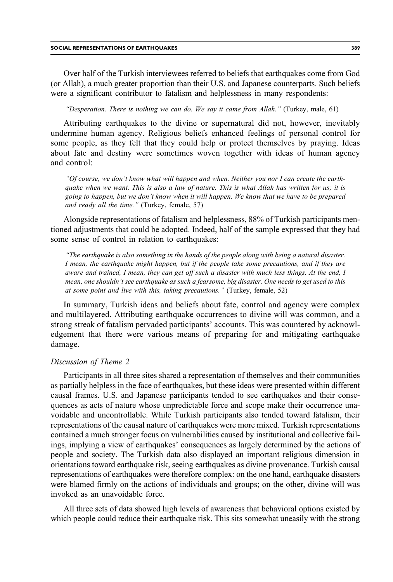Over half of the Turkish interviewees referred to beliefs that earthquakes come from God (or Allah), a much greater proportion than their U.S. and Japanese counterparts. Such beliefs were a significant contributor to fatalism and helplessness in many respondents:

"Desperation. There is nothing we can do. We say it came from Allah." (Turkey, male, 61)

Attributing earthquakes to the divine or supernatural did not, however, inevitably undermine human agency. Religious beliefs enhanced feelings of personal control for some people, as they felt that they could help or protect themselves by praying. Ideas about fate and destiny were sometimes woven together with ideas of human agency and control:

"Of course, we don't know what will happen and when. Neither you nor I can create the earthquake when we want. This is also a law of nature. This is what Allah has written for us; it is going to happen, but we don't know when it will happen. We know that we have to be prepared and ready all the time." (Turkey, female, 57)

Alongside representations of fatalism and helplessness, 88% of Turkish participants mentioned adjustments that could be adopted. Indeed, half of the sample expressed that they had some sense of control in relation to earthquakes:

"The earthquake is also something in the hands of the people along with being a natural disaster. I mean, the earthquake might happen, but if the people take some precautions, and if they are aware and trained, I mean, they can get off such a disaster with much less things. At the end, I mean, one shouldn't see earthquake as such a fearsome, big disaster. One needs to get used to this at some point and live with this, taking precautions." (Turkey, female, 52)

In summary, Turkish ideas and beliefs about fate, control and agency were complex and multilayered. Attributing earthquake occurrences to divine will was common, and a strong streak of fatalism pervaded participants' accounts. This was countered by acknowledgement that there were various means of preparing for and mitigating earthquake damage.

# Discussion of Theme 2

Participants in all three sites shared a representation of themselves and their communities as partially helpless in the face of earthquakes, but these ideas were presented within different causal frames. U.S. and Japanese participants tended to see earthquakes and their consequences as acts of nature whose unpredictable force and scope make their occurrence unavoidable and uncontrollable. While Turkish participants also tended toward fatalism, their representations of the causal nature of earthquakes were more mixed. Turkish representations contained a much stronger focus on vulnerabilities caused by institutional and collective failings, implying a view of earthquakes' consequences as largely determined by the actions of people and society. The Turkish data also displayed an important religious dimension in orientations toward earthquake risk, seeing earthquakes as divine provenance. Turkish causal representations of earthquakes were therefore complex: on the one hand, earthquake disasters were blamed firmly on the actions of individuals and groups; on the other, divine will was invoked as an unavoidable force.

All three sets of data showed high levels of awareness that behavioral options existed by which people could reduce their earthquake risk. This sits somewhat uneasily with the strong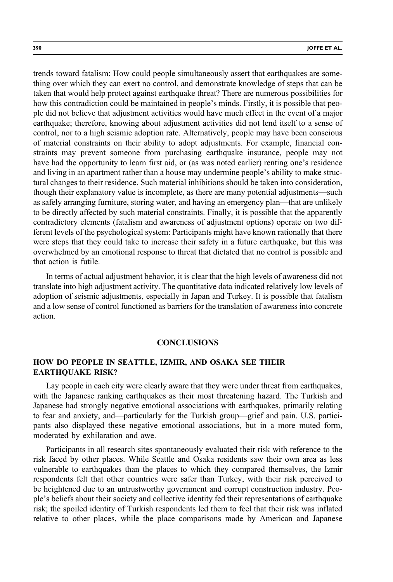trends toward fatalism: How could people simultaneously assert that earthquakes are something over which they can exert no control, and demonstrate knowledge of steps that can be taken that would help protect against earthquake threat? There are numerous possibilities for how this contradiction could be maintained in people's minds. Firstly, it is possible that people did not believe that adjustment activities would have much effect in the event of a major earthquake; therefore, knowing about adjustment activities did not lend itself to a sense of control, nor to a high seismic adoption rate. Alternatively, people may have been conscious of material constraints on their ability to adopt adjustments. For example, financial constraints may prevent someone from purchasing earthquake insurance, people may not have had the opportunity to learn first aid, or (as was noted earlier) renting one's residence and living in an apartment rather than a house may undermine people's ability to make structural changes to their residence. Such material inhibitions should be taken into consideration, though their explanatory value is incomplete, as there are many potential adjustments—such as safely arranging furniture, storing water, and having an emergency plan—that are unlikely to be directly affected by such material constraints. Finally, it is possible that the apparently contradictory elements (fatalism and awareness of adjustment options) operate on two different levels of the psychological system: Participants might have known rationally that there were steps that they could take to increase their safety in a future earthquake, but this was overwhelmed by an emotional response to threat that dictated that no control is possible and that action is futile.

In terms of actual adjustment behavior, it is clear that the high levels of awareness did not translate into high adjustment activity. The quantitative data indicated relatively low levels of adoption of seismic adjustments, especially in Japan and Turkey. It is possible that fatalism and a low sense of control functioned as barriers for the translation of awareness into concrete action.

#### **CONCLUSIONS**

# HOW DO PEOPLE IN SEATTLE, IZMIR, AND OSAKA SEE THEIR EARTHQUAKE RISK?

Lay people in each city were clearly aware that they were under threat from earthquakes, with the Japanese ranking earthquakes as their most threatening hazard. The Turkish and Japanese had strongly negative emotional associations with earthquakes, primarily relating to fear and anxiety, and—particularly for the Turkish group—grief and pain. U.S. participants also displayed these negative emotional associations, but in a more muted form, moderated by exhilaration and awe.

Participants in all research sites spontaneously evaluated their risk with reference to the risk faced by other places. While Seattle and Osaka residents saw their own area as less vulnerable to earthquakes than the places to which they compared themselves, the Izmir respondents felt that other countries were safer than Turkey, with their risk perceived to be heightened due to an untrustworthy government and corrupt construction industry. People's beliefs about their society and collective identity fed their representations of earthquake risk; the spoiled identity of Turkish respondents led them to feel that their risk was inflated relative to other places, while the place comparisons made by American and Japanese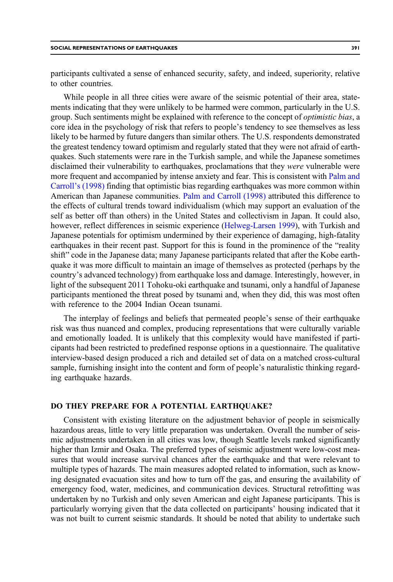participants cultivated a sense of enhanced security, safety, and indeed, superiority, relative to other countries.

While people in all three cities were aware of the seismic potential of their area, statements indicating that they were unlikely to be harmed were common, particularly in the U.S. group. Such sentiments might be explained with reference to the concept of *optimistic bias*, a core idea in the psychology of risk that refers to people's tendency to see themselves as less likely to be harmed by future dangers than similar others. The U.S. respondents demonstrated the greatest tendency toward optimism and regularly stated that they were not afraid of earthquakes. Such statements were rare in the Turkish sample, and while the Japanese sometimes disclaimed their vulnerability to earthquakes, proclamations that they *were* vulnerable were more frequent and accompanied by intense anxiety and fear. This is consistent with [Palm and](#page-29-0) Carroll'[s \(1998\)](#page-29-0) finding that optimistic bias regarding earthquakes was more common within American than Japanese communities. [Palm and Carroll \(1998\)](#page-29-0) attributed this difference to the effects of cultural trends toward individualism (which may support an evaluation of the self as better off than others) in the United States and collectivism in Japan. It could also, however, reflect differences in seismic experience [\(Helweg-Larsen 1999\)](#page-28-0), with Turkish and Japanese potentials for optimism undermined by their experience of damaging, high-fatality earthquakes in their recent past. Support for this is found in the prominence of the "reality shift" code in the Japanese data; many Japanese participants related that after the Kobe earthquake it was more difficult to maintain an image of themselves as protected (perhaps by the country's advanced technology) from earthquake loss and damage. Interestingly, however, in light of the subsequent 2011 Tohoku-oki earthquake and tsunami, only a handful of Japanese participants mentioned the threat posed by tsunami and, when they did, this was most often with reference to the 2004 Indian Ocean tsunami.

The interplay of feelings and beliefs that permeated people's sense of their earthquake risk was thus nuanced and complex, producing representations that were culturally variable and emotionally loaded. It is unlikely that this complexity would have manifested if participants had been restricted to predefined response options in a questionnaire. The qualitative interview-based design produced a rich and detailed set of data on a matched cross-cultural sample, furnishing insight into the content and form of people's naturalistic thinking regarding earthquake hazards.

## DO THEY PREPARE FOR A POTENTIAL EARTHQUAKE?

Consistent with existing literature on the adjustment behavior of people in seismically hazardous areas, little to very little preparation was undertaken. Overall the number of seismic adjustments undertaken in all cities was low, though Seattle levels ranked significantly higher than Izmir and Osaka. The preferred types of seismic adjustment were low-cost measures that would increase survival chances after the earthquake and that were relevant to multiple types of hazards. The main measures adopted related to information, such as knowing designated evacuation sites and how to turn off the gas, and ensuring the availability of emergency food, water, medicines, and communication devices. Structural retrofitting was undertaken by no Turkish and only seven American and eight Japanese participants. This is particularly worrying given that the data collected on participants' housing indicated that it was not built to current seismic standards. It should be noted that ability to undertake such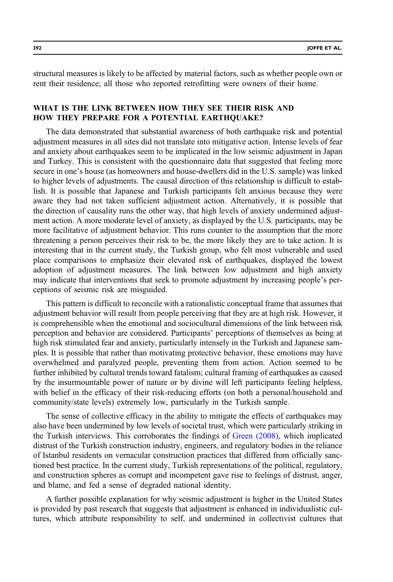structural measures is likely to be affected by material factors, such as whether people own or rent their residence; all those who reported retrofitting were owners of their home.

# WHAT IS THE LINK BETWEEN HOW THEY SEE THEIR RISK AND HOW THEY PREPARE FOR A POTENTIAL EARTHQUAKE?

The data demonstrated that substantial awareness of both earthquake risk and potential adjustment measures in all sites did not translate into mitigative action. Intense levels of fear and anxiety about earthquakes seem to be implicated in the low seismic adjustment in Japan and Turkey. This is consistent with the questionnaire data that suggested that feeling more secure in one's house (as homeowners and house-dwellers did in the U.S. sample) was linked to higher levels of adjustments. The causal direction of this relationship is difficult to establish. It is possible that Japanese and Turkish participants felt anxious because they were aware they had not taken sufficient adjustment action. Alternatively, it is possible that the direction of causality runs the other way, that high levels of anxiety undermined adjustment action. A more moderate level of anxiety, as displayed by the U.S. participants, may be more facilitative of adjustment behavior. This runs counter to the assumption that the more threatening a person perceives their risk to be, the more likely they are to take action. It is interesting that in the current study, the Turkish group, who felt most vulnerable and used place comparisons to emphasize their elevated risk of earthquakes, displayed the lowest adoption of adjustment measures. The link between low adjustment and high anxiety may indicate that interventions that seek to promote adjustment by increasing people's perceptions of seismic risk are misguided.

This pattern is difficult to reconcile with a rationalistic conceptual frame that assumes that adjustment behavior will result from people perceiving that they are at high risk. However, it is comprehensible when the emotional and sociocultural dimensions of the link between risk perception and behavior are considered. Participants' perceptions of themselves as being at high risk stimulated fear and anxiety, particularly intensely in the Turkish and Japanese samples. It is possible that rather than motivating protective behavior, these emotions may have overwhelmed and paralyzed people, preventing them from action. Action seemed to be further inhibited by cultural trends toward fatalism; cultural framing of earthquakes as caused by the insurmountable power of nature or by divine will left participants feeling helpless, with belief in the efficacy of their risk-reducing efforts (on both a personal/household and community/state levels) extremely low, particularly in the Turkish sample.

The sense of collective efficacy in the ability to mitigate the effects of earthquakes may also have been undermined by low levels of societal trust, which were particularly striking in the Turkish interviews. This corroborates the findings of [Green \(2008\)](#page-28-0), which implicated distrust of the Turkish construction industry, engineers, and regulatory bodies in the reliance of Istanbul residents on vernacular construction practices that differed from officially sanctioned best practice. In the current study, Turkish representations of the political, regulatory, and construction spheres as corrupt and incompetent gave rise to feelings of distrust, anger, and blame, and fed a sense of degraded national identity.

A further possible explanation for why seismic adjustment is higher in the United States is provided by past research that suggests that adjustment is enhanced in individualistic cultures, which attribute responsibility to self, and undermined in collectivist cultures that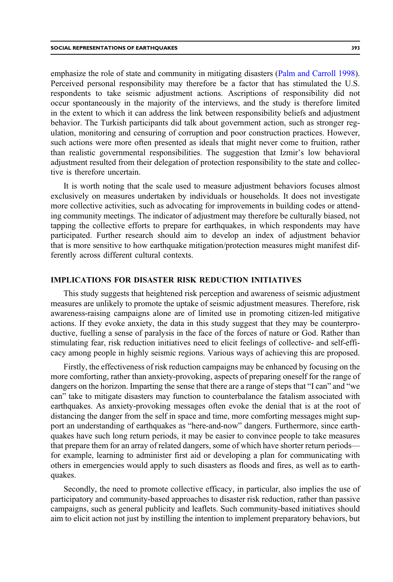emphasize the role of state and community in mitigating disasters [\(Palm and Carroll 1998](#page-29-0)). Perceived personal responsibility may therefore be a factor that has stimulated the U.S. respondents to take seismic adjustment actions. Ascriptions of responsibility did not occur spontaneously in the majority of the interviews, and the study is therefore limited in the extent to which it can address the link between responsibility beliefs and adjustment behavior. The Turkish participants did talk about government action, such as stronger regulation, monitoring and censuring of corruption and poor construction practices. However, such actions were more often presented as ideals that might never come to fruition, rather than realistic governmental responsibilities. The suggestion that Izmir's low behavioral adjustment resulted from their delegation of protection responsibility to the state and collective is therefore uncertain.

It is worth noting that the scale used to measure adjustment behaviors focuses almost exclusively on measures undertaken by individuals or households. It does not investigate more collective activities, such as advocating for improvements in building codes or attending community meetings. The indicator of adjustment may therefore be culturally biased, not tapping the collective efforts to prepare for earthquakes, in which respondents may have participated. Further research should aim to develop an index of adjustment behavior that is more sensitive to how earthquake mitigation/protection measures might manifest differently across different cultural contexts.

# IMPLICATIONS FOR DISASTER RISK REDUCTION INITIATIVES

This study suggests that heightened risk perception and awareness of seismic adjustment measures are unlikely to promote the uptake of seismic adjustment measures. Therefore, risk awareness-raising campaigns alone are of limited use in promoting citizen-led mitigative actions. If they evoke anxiety, the data in this study suggest that they may be counterproductive, fuelling a sense of paralysis in the face of the forces of nature or God. Rather than stimulating fear, risk reduction initiatives need to elicit feelings of collective- and self-efficacy among people in highly seismic regions. Various ways of achieving this are proposed.

Firstly, the effectiveness of risk reduction campaigns may be enhanced by focusing on the more comforting, rather than anxiety-provoking, aspects of preparing oneself for the range of dangers on the horizon. Imparting the sense that there are a range of steps that "I can" and "we can" take to mitigate disasters may function to counterbalance the fatalism associated with earthquakes. As anxiety-provoking messages often evoke the denial that is at the root of distancing the danger from the self in space and time, more comforting messages might support an understanding of earthquakes as "here-and-now" dangers. Furthermore, since earthquakes have such long return periods, it may be easier to convince people to take measures that prepare them for an array of related dangers, some of which have shorter return periods for example, learning to administer first aid or developing a plan for communicating with others in emergencies would apply to such disasters as floods and fires, as well as to earthquakes.

Secondly, the need to promote collective efficacy, in particular, also implies the use of participatory and community-based approaches to disaster risk reduction, rather than passive campaigns, such as general publicity and leaflets. Such community-based initiatives should aim to elicit action not just by instilling the intention to implement preparatory behaviors, but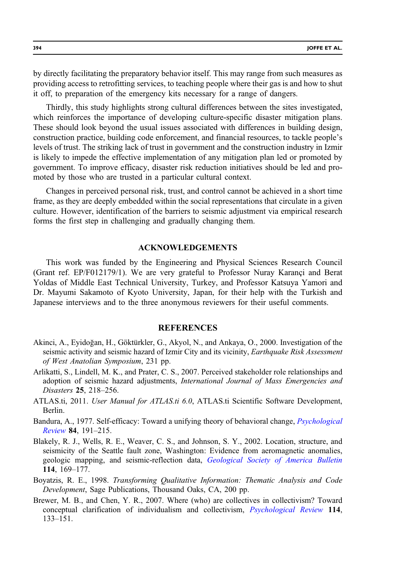<span id="page-27-0"></span>by directly facilitating the preparatory behavior itself. This may range from such measures as providing access to retrofitting services, to teaching people where their gas is and how to shut it off, to preparation of the emergency kits necessary for a range of dangers.

Thirdly, this study highlights strong cultural differences between the sites investigated, which reinforces the importance of developing culture-specific disaster mitigation plans. These should look beyond the usual issues associated with differences in building design, construction practice, building code enforcement, and financial resources, to tackle people's levels of trust. The striking lack of trust in government and the construction industry in Izmir is likely to impede the effective implementation of any mitigation plan led or promoted by government. To improve efficacy, disaster risk reduction initiatives should be led and promoted by those who are trusted in a particular cultural context.

Changes in perceived personal risk, trust, and control cannot be achieved in a short time frame, as they are deeply embedded within the social representations that circulate in a given culture. However, identification of the barriers to seismic adjustment via empirical research forms the first step in challenging and gradually changing them.

#### ACKNOWLEDGEMENTS

This work was funded by the Engineering and Physical Sciences Research Council (Grant ref. EP/F012179/1). We are very grateful to Professor Nuray Karançi and Berat Yoldas of Middle East Technical University, Turkey, and Professor Katsuya Yamori and Dr. Mayumi Sakamoto of Kyoto University, Japan, for their help with the Turkish and Japanese interviews and to the three anonymous reviewers for their useful comments.

#### **REFERENCES**

- Akinci, A., Eyidoğan, H., Göktürkler, G., Akyol, N., and Ankaya, O., 2000. Investigation of the seismic activity and seismic hazard of Izmir City and its vicinity, *Earthquake Risk Assessment* of West Anatolian Symposium, 231 pp.
- Arlikatti, S., Lindell, M. K., and Prater, C. S., 2007. Perceived stakeholder role relationships and adoption of seismic hazard adjustments, *International Journal of Mass Emergencies and* Disasters 25, 218–256.
- ATLAS.ti, 2011. User Manual for ATLAS.ti 6.0, ATLAS.ti Scientific Software Development, Berlin.
- Bandura, A., 1977. Self-efficacy: Toward a unifying theory of behavioral change, *[Psychological](http://dx.doi.org/10.1037/0033-295X.84.2.191)* [Review](http://dx.doi.org/10.1037/0033-295X.84.2.191) 84, 191–215.
- Blakely, R. J., Wells, R. E., Weaver, C. S., and Johnson, S. Y., 2002. Location, structure, and seismicity of the Seattle fault zone, Washington: Evidence from aeromagnetic anomalies, geologic mapping, and seismic-reflection data, *[Geological Society of America Bulletin](http://dx.doi.org/10.1130/0016-7606(2002)114<0169:LSASOT>2.0.CO;2)* 114, 169–177.
- Boyatzis, R. E., 1998. Transforming Qualitative Information: Thematic Analysis and Code Development, Sage Publications, Thousand Oaks, CA, 200 pp.
- Brewer, M. B., and Chen, Y. R., 2007. Where (who) are collectives in collectivism? Toward conceptual clarification of individualism and collectivism, [Psychological Review](http://dx.doi.org/10.1037/0033-295X.114.1.133) 114, 133–151.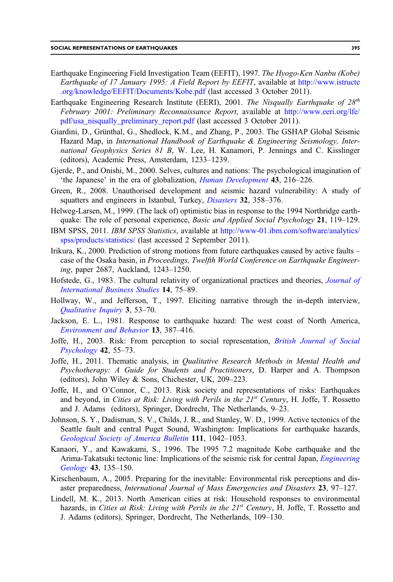- <span id="page-28-0"></span>Earthquake Engineering Field Investigation Team (EEFIT), 1997. The Hyogo-Ken Nanbu (Kobe) Earthquake of 17 January 1995: A Field Report by EEFIT, available at [http://www.istructe](http://www.istructe.org/knowledge/EEFIT/Documents/Kobe.pdf) [.org/knowledge/EEFIT/Documents/Kobe.pdf](http://www.istructe.org/knowledge/EEFIT/Documents/Kobe.pdf) (last accessed 3 October 2011).
- Earthquake Engineering Research Institute (EERI), 2001. The Nisqually Earthquake of  $28^{th}$ February 2001: Preliminary Reconnaissance Report, available at [http://www.eeri.org/lfe/](http://www.eeri.org/lfe/pdf/usa_nisqually_preliminary_report.pdf) [pdf/usa\\_nisqually\\_preliminary\\_report.pdf](http://www.eeri.org/lfe/pdf/usa_nisqually_preliminary_report.pdf) (last accessed 3 October 2011).
- Giardini, D., Grünthal, G., Shedlock, K.M., and Zhang, P., 2003. The GSHAP Global Seismic Hazard Map, in International Handbook of Earthquake & Engineering Seismology, International Geophysics Series 81 B, W. Lee, H. Kanamori, P. Jennings and C. Kisslinger (editors), Academic Press, Amsterdam, 1233–1239.
- Gjerde, P., and Onishi, M., 2000. Selves, cultures and nations: The psychological imagination of 'the Japanese' in the era of globalization, [Human Development](http://dx.doi.org/10.1159/000022679) 43, 216–226.
- Green, R., 2008. Unauthorised development and seismic hazard vulnerability: A study of squatters and engineers in Istanbul, Turkey, *[Disasters](http://dx.doi.org/10.1111/j.1467-7717.2008.01044.x)* 32, 358-376.
- Helweg-Larsen, M., 1999. (The lack of) optimistic bias in response to the 1994 Northridge earthquake: The role of personal experience, Basic and Applied Social Psychology 21, 119-129.
- IBM SPSS, 2011. IBM SPSS Statistics, available at [http://www-01.ibm.com/software/analytics/](http://www-01.ibm.com/software/analytics/spss/products/statistics/) [spss/products/statistics/](http://www-01.ibm.com/software/analytics/spss/products/statistics/) (last accessed 2 September 2011).
- Irikura, K., 2000. Prediction of strong motions from future earthquakes caused by active faults case of the Osaka basin, in Proceedings, Twelfth World Conference on Earthquake Engineering, paper 2687, Auckland, 1243–1250.
- Hofstede, G., 1983. The cultural relativity of organizational practices and theories, *[Journal of](http://dx.doi.org/10.1057/palgrave.jibs.8490867)* [International Business Studies](http://dx.doi.org/10.1057/palgrave.jibs.8490867) 14, 75–89.
- Hollway, W., and Jefferson, T., 1997. Eliciting narrative through the in-depth interview, [Qualitative Inquiry](http://dx.doi.org/10.1177/107780049700300103) 3, 53–70.
- Jackson, E. L., 1981. Response to earthquake hazard: The west coast of North America, [Environment and Behavior](http://dx.doi.org/10.1177/0013916581134001) 13, 387–416.
- Joffe, H., 2003. Risk: From perception to social representation, [British Journal of Social](http://dx.doi.org/10.1348/014466603763276126) [Psychology](http://dx.doi.org/10.1348/014466603763276126) 42, 55–73.
- Joffe, H., 2011. Thematic analysis, in *Qualitative Research Methods in Mental Health and* Psychotherapy: A Guide for Students and Practitioners, D. Harper and A. Thompson (editors), John Wiley & Sons, Chichester, UK, 209–223.
- Joffe, H., and O'Connor, C., 2013. Risk society and representations of risks: Earthquakes and beyond, in *Cities at Risk: Living with Perils in the*  $21<sup>st</sup>$  *Century*, H. Joffe, T. Rossetto and J. Adams (editors), Springer, Dordrecht, The Netherlands, 9–23.
- Johnson, S. Y., Dadisman, S. V., Childs, J. R., and Stanley, W. D., 1999. Active tectonics of the Seattle fault and central Puget Sound, Washington: Implications for earthquake hazards, [Geological Society of America Bulletin](http://dx.doi.org/10.1130/0016-7606(1999)111<1042:ATOTSF>2.3.CO;2) 111, 1042–1053.
- Kanaori, Y., and Kawakami, S., 1996. The 1995 7.2 magnitude Kobe earthquake and the Arima-Takatsuki tectonic line: Implications of the seismic risk for central Japan, *[Engineering](http://dx.doi.org/10.1016/0013-7952(96)00056-7)* [Geology](http://dx.doi.org/10.1016/0013-7952(96)00056-7) 43, 135–150.
- Kirschenbaum, A., 2005. Preparing for the inevitable: Environmental risk perceptions and disaster preparedness, International Journal of Mass Emergencies and Disasters 23, 97–127.
- Lindell, M. K., 2013. North American cities at risk: Household responses to environmental hazards, in Cities at Risk: Living with Perils in the  $21^{st}$  Century, H. Joffe, T. Rossetto and J. Adams (editors), Springer, Dordrecht, The Netherlands, 109–130.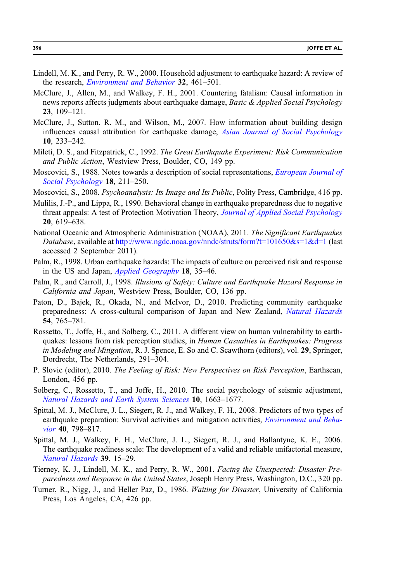- <span id="page-29-0"></span>Lindell, M. K., and Perry, R. W., 2000. Household adjustment to earthquake hazard: A review of the research, *[Environment and Behavior](http://dx.doi.org/10.1177/00139160021972621)* 32, 461–501.
- McClure, J., Allen, M., and Walkey, F. H., 2001. Countering fatalism: Causal information in news reports affects judgments about earthquake damage, Basic & Applied Social Psychology 23, 109–121.
- McClure, J., Sutton, R. M., and Wilson, M., 2007. How information about building design influences causal attribution for earthquake damage, *[Asian Journal of Social Psychology](http://dx.doi.org/10.1111/ajsp.2007.10.issue-4)* 10, 233–242.
- Mileti, D. S., and Fitzpatrick, C., 1992. The Great Earthquake Experiment: Risk Communication and Public Action, Westview Press, Boulder, CO, 149 pp.
- Moscovici, S., 1988. Notes towards a description of social representations, *[European Journal of](http://dx.doi.org/10.1002/(ISSN)1099-0992)* [Social Psychology](http://dx.doi.org/10.1002/(ISSN)1099-0992) 18, 211–250.
- Moscovici, S., 2008. Psychoanalysis: Its Image and Its Public, Polity Press, Cambridge, 416 pp.
- Mulilis, J.-P., and Lippa, R., 1990. Behavioral change in earthquake preparedness due to negative threat appeals: A test of Protection Motivation Theory, *[Journal of Applied Social Psychology](http://dx.doi.org/10.1111/jasp.1990.20.issue-8)* 20, 619–638.
- National Oceanic and Atmospheric Administration (NOAA), 2011. The Significant Earthquakes Database, available at <http://www.ngdc.noaa.gov/nndc/struts/form?t=101650&s=1&d=1> (last accessed 2 September 2011).
- Palm, R., 1998. Urban earthquake hazards: The impacts of culture on perceived risk and response in the US and Japan, *[Applied Geography](http://dx.doi.org/10.1016/S0143-6228(97)00044-1)* 18, 35–46.
- Palm, R., and Carroll, J., 1998. Illusions of Safety: Culture and Earthquake Hazard Response in California and Japan, Westview Press, Boulder, CO, 136 pp.
- Paton, D., Bajek, R., Okada, N., and McIvor, D., 2010. Predicting community earthquake preparedness: A cross-cultural comparison of Japan and New Zealand, [Natural Hazards](http://dx.doi.org/10.1007/s11069-010-9500-2) 54, 765–781.
- Rossetto, T., Joffe, H., and Solberg, C., 2011. A different view on human vulnerability to earthquakes: lessons from risk perception studies, in Human Casualties in Earthquakes: Progress in Modeling and Mitigation, R. J. Spence, E. So and C. Scawthorn (editors), vol. 29, Springer, Dordrecht, The Netherlands, 291–304.
- P. Slovic (editor), 2010. The Feeling of Risk: New Perspectives on Risk Perception, Earthscan, London, 456 pp.
- Solberg, C., Rossetto, T., and Joffe, H., 2010. The social psychology of seismic adjustment, [Natural Hazards and Earth System Sciences](http://dx.doi.org/10.5194/nhess-10-1663-2010) 10, 1663–1677.
- Spittal, M. J., McClure, J. L., Siegert, R. J., and Walkey, F. H., 2008. Predictors of two types of earthquake preparation: Survival activities and mitigation activities, *Environment and Beha*[vior](http://dx.doi.org/10.1177/0013916507309864) 40, 798–817.
- Spittal, M. J., Walkey, F. H., McClure, J. L., Siegert, R. J., and Ballantyne, K. E., 2006. The earthquake readiness scale: The development of a valid and reliable unifactorial measure, [Natural Hazards](http://dx.doi.org/10.1007/s11069-005-2369-9) 39, 15–29.
- Tierney, K. J., Lindell, M. K., and Perry, R. W., 2001. Facing the Unexpected: Disaster Preparedness and Response in the United States, Joseph Henry Press, Washington, D.C., 320 pp.
- Turner, R., Nigg, J., and Heller Paz, D., 1986. Waiting for Disaster, University of California Press, Los Angeles, CA, 426 pp.